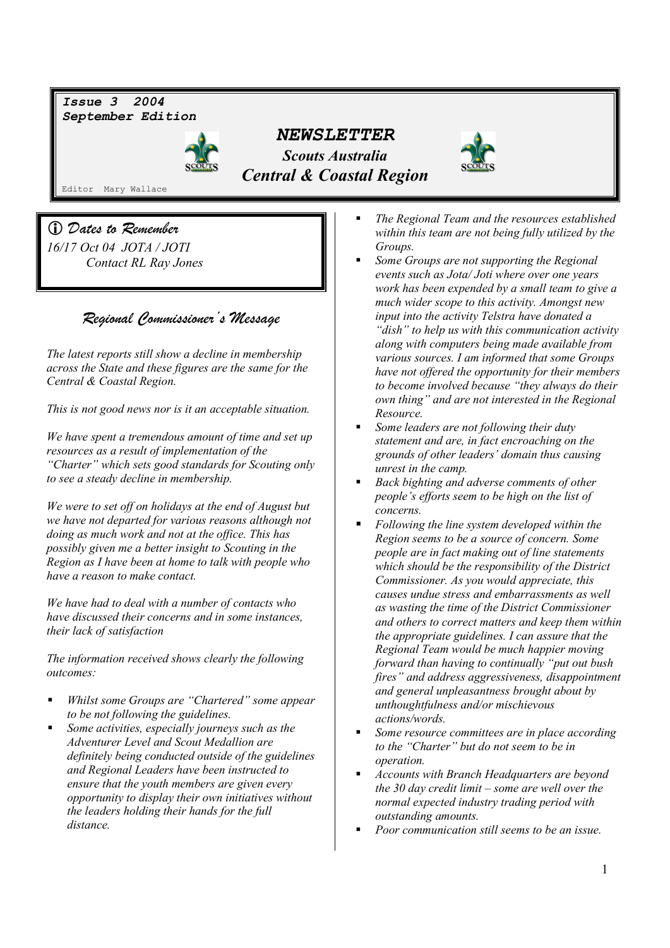*Issue 3 2004 September Edition* 



 *NEWSLETTER Scouts Australia Central & Coastal Region* 



Editor Mary Wallace

 *Dates to Remember 16/17 Oct 04 JOTA / JOTI Contact RL Ray Jones* 

# *Regional Commissioner's Message*

*The latest reports still show a decline in membership across the State and these figures are the same for the Central & Coastal Region.* 

*This is not good news nor is it an acceptable situation.* 

*We have spent a tremendous amount of time and set up resources as a result of implementation of the "Charter" which sets good standards for Scouting only to see a steady decline in membership.* 

*We were to set off on holidays at the end of August but we have not departed for various reasons although not doing as much work and not at the office. This has possibly given me a better insight to Scouting in the Region as I have been at home to talk with people who have a reason to make contact.* 

*We have had to deal with a number of contacts who have discussed their concerns and in some instances, their lack of satisfaction* 

*The information received shows clearly the following outcomes:* 

- *Whilst some Groups are "Chartered" some appear to be not following the guidelines.*
- *Some activities, especially journeys such as the Adventurer Level and Scout Medallion are definitely being conducted outside of the guidelines and Regional Leaders have been instructed to ensure that the youth members are given every opportunity to display their own initiatives without the leaders holding their hands for the full distance.*
- *The Regional Team and the resources established within this team are not being fully utilized by the Groups.*
- *Some Groups are not supporting the Regional events such as Jota/ Joti where over one years work has been expended by a small team to give a much wider scope to this activity. Amongst new input into the activity Telstra have donated a "dish" to help us with this communication activity along with computers being made available from various sources. I am informed that some Groups have not offered the opportunity for their members to become involved because "they always do their own thing" and are not interested in the Regional Resource.*
- *Some leaders are not following their duty statement and are, in fact encroaching on the grounds of other leaders' domain thus causing unrest in the camp.*
- *Back bighting and adverse comments of other people's efforts seem to be high on the list of concerns.*
- *Following the line system developed within the Region seems to be a source of concern. Some people are in fact making out of line statements which should be the responsibility of the District Commissioner. As you would appreciate, this causes undue stress and embarrassments as well as wasting the time of the District Commissioner and others to correct matters and keep them within the appropriate guidelines. I can assure that the Regional Team would be much happier moving forward than having to continually "put out bush fires" and address aggressiveness, disappointment and general unpleasantness brought about by unthoughtfulness and/or mischievous actions/words.*
- *Some resource committees are in place according to the "Charter" but do not seem to be in operation.*
- *Accounts with Branch Headquarters are beyond the 30 day credit limit – some are well over the normal expected industry trading period with outstanding amounts.*
- *Poor communication still seems to be an issue.*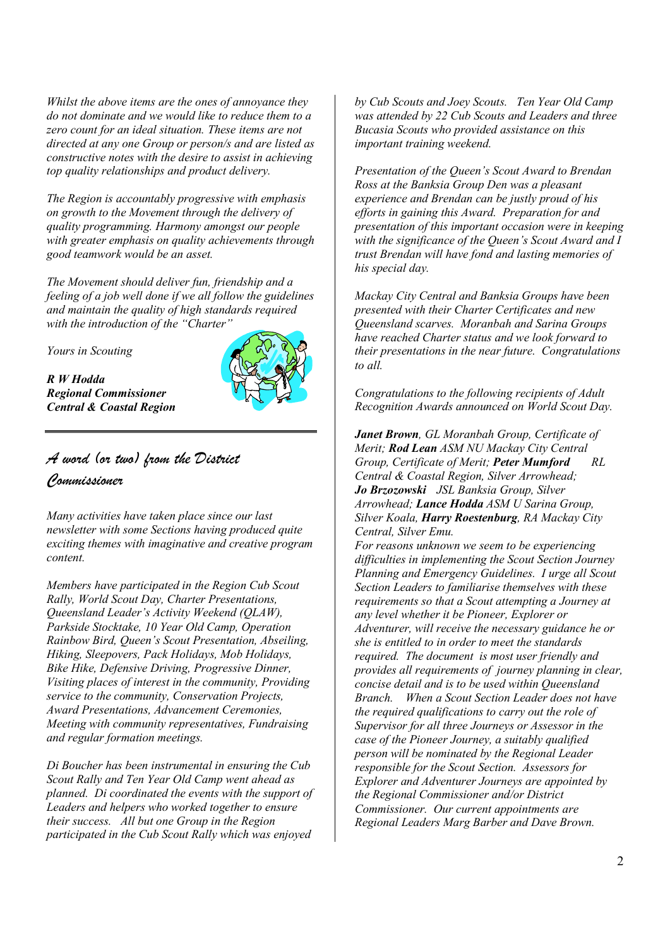*Whilst the above items are the ones of annoyance they do not dominate and we would like to reduce them to a zero count for an ideal situation. These items are not directed at any one Group or person/s and are listed as constructive notes with the desire to assist in achieving top quality relationships and product delivery.* 

*The Region is accountably progressive with emphasis on growth to the Movement through the delivery of quality programming. Harmony amongst our people with greater emphasis on quality achievements through good teamwork would be an asset.* 

*The Movement should deliver fun, friendship and a feeling of a job well done if we all follow the guidelines and maintain the quality of high standards required with the introduction of the "Charter"* 

*Yours in Scouting* 

*R W Hodda Regional Commissioner Central & Coastal Region*



# *A word (or two) from the District Commissioner*

*Many activities have taken place since our last newsletter with some Sections having produced quite exciting themes with imaginative and creative program content.* 

*Members have participated in the Region Cub Scout Rally, World Scout Day, Charter Presentations, Queensland Leader's Activity Weekend (QLAW), Parkside Stocktake, 10 Year Old Camp, Operation Rainbow Bird, Queen's Scout Presentation, Abseiling, Hiking, Sleepovers, Pack Holidays, Mob Holidays, Bike Hike, Defensive Driving, Progressive Dinner, Visiting places of interest in the community, Providing service to the community, Conservation Projects, Award Presentations, Advancement Ceremonies, Meeting with community representatives, Fundraising and regular formation meetings.* 

*Di Boucher has been instrumental in ensuring the Cub Scout Rally and Ten Year Old Camp went ahead as planned. Di coordinated the events with the support of Leaders and helpers who worked together to ensure their success. All but one Group in the Region participated in the Cub Scout Rally which was enjoyed* 

*by Cub Scouts and Joey Scouts. Ten Year Old Camp was attended by 22 Cub Scouts and Leaders and three Bucasia Scouts who provided assistance on this important training weekend.* 

*Presentation of the Queen's Scout Award to Brendan Ross at the Banksia Group Den was a pleasant experience and Brendan can be justly proud of his efforts in gaining this Award. Preparation for and presentation of this important occasion were in keeping with the significance of the Queen's Scout Award and I trust Brendan will have fond and lasting memories of his special day.* 

*Mackay City Central and Banksia Groups have been presented with their Charter Certificates and new Queensland scarves. Moranbah and Sarina Groups have reached Charter status and we look forward to their presentations in the near future. Congratulations to all.* 

*Congratulations to the following recipients of Adult Recognition Awards announced on World Scout Day.* 

*Janet Brown, GL Moranbah Group, Certificate of Merit; Rod Lean ASM NU Mackay City Central Group, Certificate of Merit; Peter Mumford Central & Coastal Region, Silver Arrowhead; Jo Brzozowski JSL Banksia Group, Silver Arrowhead; Lance Hodda ASM U Sarina Group, Silver Koala, Harry Roestenburg, RA Mackay City Central, Silver Emu.* 

*For reasons unknown we seem to be experiencing difficulties in implementing the Scout Section Journey Planning and Emergency Guidelines. I urge all Scout Section Leaders to familiarise themselves with these requirements so that a Scout attempting a Journey at any level whether it be Pioneer, Explorer or Adventurer, will receive the necessary guidance he or she is entitled to in order to meet the standards required. The document is most user friendly and provides all requirements of journey planning in clear, concise detail and is to be used within Queensland Branch. When a Scout Section Leader does not have the required qualifications to carry out the role of Supervisor for all three Journeys or Assessor in the case of the Pioneer Journey, a suitably qualified person will be nominated by the Regional Leader responsible for the Scout Section. Assessors for Explorer and Adventurer Journeys are appointed by the Regional Commissioner and/or District Commissioner. Our current appointments are Regional Leaders Marg Barber and Dave Brown.*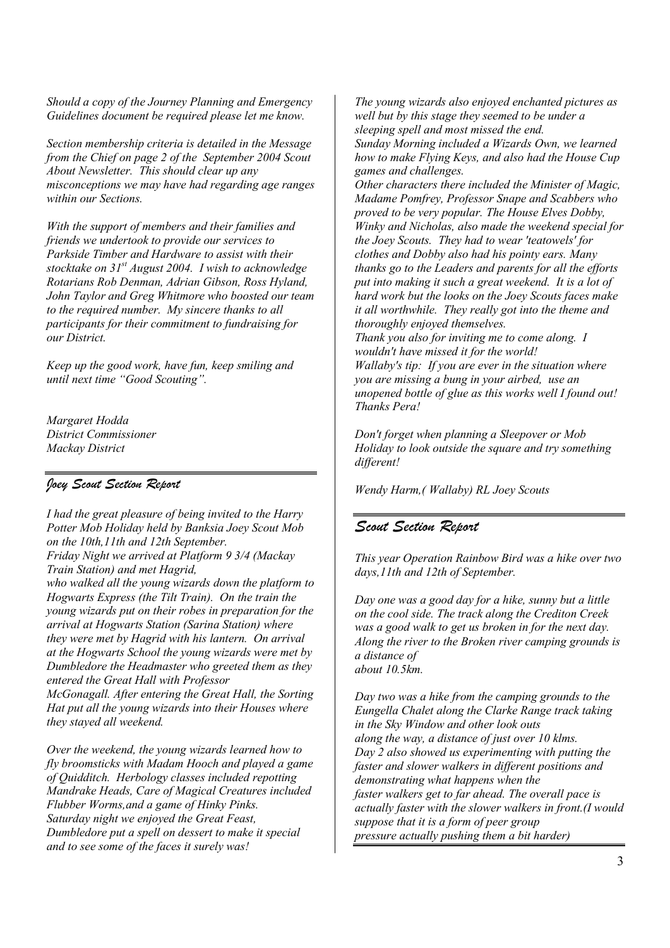*Should a copy of the Journey Planning and Emergency Guidelines document be required please let me know.*

*Section membership criteria is detailed in the Message from the Chief on page 2 of the September 2004 Scout About Newsletter. This should clear up any misconceptions we may have had regarding age ranges within our Sections.* 

*With the support of members and their families and friends we undertook to provide our services to Parkside Timber and Hardware to assist with their stocktake on 31st August 2004. I wish to acknowledge Rotarians Rob Denman, Adrian Gibson, Ross Hyland, John Taylor and Greg Whitmore who boosted our team to the required number. My sincere thanks to all participants for their commitment to fundraising for our District.* 

*Keep up the good work, have fun, keep smiling and until next time "Good Scouting".* 

*Margaret Hodda District Commissioner Mackay District*

#### *Joey Scout Section Report*

*I had the great pleasure of being invited to the Harry Potter Mob Holiday held by Banksia Joey Scout Mob on the 10th,11th and 12th September. Friday Night we arrived at Platform 9 3/4 (Mackay Train Station) and met Hagrid, who walked all the young wizards down the platform to Hogwarts Express (the Tilt Train). On the train the young wizards put on their robes in preparation for the arrival at Hogwarts Station (Sarina Station) where they were met by Hagrid with his lantern. On arrival at the Hogwarts School the young wizards were met by Dumbledore the Headmaster who greeted them as they entered the Great Hall with Professor McGonagall. After entering the Great Hall, the Sorting Hat put all the young wizards into their Houses where* 

*they stayed all weekend. Over the weekend, the young wizards learned how to fly broomsticks with Madam Hooch and played a game of Quidditch. Herbology classes included repotting Mandrake Heads, Care of Magical Creatures included Flubber Worms,and a game of Hinky Pinks.* 

*Saturday night we enjoyed the Great Feast, Dumbledore put a spell on dessert to make it special and to see some of the faces it surely was!* 

*The young wizards also enjoyed enchanted pictures as well but by this stage they seemed to be under a sleeping spell and most missed the end. Sunday Morning included a Wizards Own, we learned how to make Flying Keys, and also had the House Cup games and challenges.* 

*Other characters there included the Minister of Magic, Madame Pomfrey, Professor Snape and Scabbers who proved to be very popular. The House Elves Dobby, Winky and Nicholas, also made the weekend special for the Joey Scouts. They had to wear 'teatowels' for clothes and Dobby also had his pointy ears. Many thanks go to the Leaders and parents for all the efforts put into making it such a great weekend. It is a lot of hard work but the looks on the Joey Scouts faces make it all worthwhile. They really got into the theme and thoroughly enjoyed themselves.* 

*Thank you also for inviting me to come along. I wouldn't have missed it for the world! Wallaby's tip: If you are ever in the situation where you are missing a bung in your airbed, use an unopened bottle of glue as this works well I found out! Thanks Pera!* 

*Don't forget when planning a Sleepover or Mob Holiday to look outside the square and try something different!* 

*Wendy Harm,( Wallaby) RL Joey Scouts* 

### *Scout Section Report*

*This year Operation Rainbow Bird was a hike over two days,11th and 12th of September.* 

*Day one was a good day for a hike, sunny but a little on the cool side. The track along the Crediton Creek was a good walk to get us broken in for the next day. Along the river to the Broken river camping grounds is a distance of about 10.5km.* 

*Day two was a hike from the camping grounds to the Eungella Chalet along the Clarke Range track taking in the Sky Window and other look outs along the way, a distance of just over 10 klms. Day 2 also showed us experimenting with putting the faster and slower walkers in different positions and demonstrating what happens when the faster walkers get to far ahead. The overall pace is actually faster with the slower walkers in front.(I would suppose that it is a form of peer group pressure actually pushing them a bit harder)*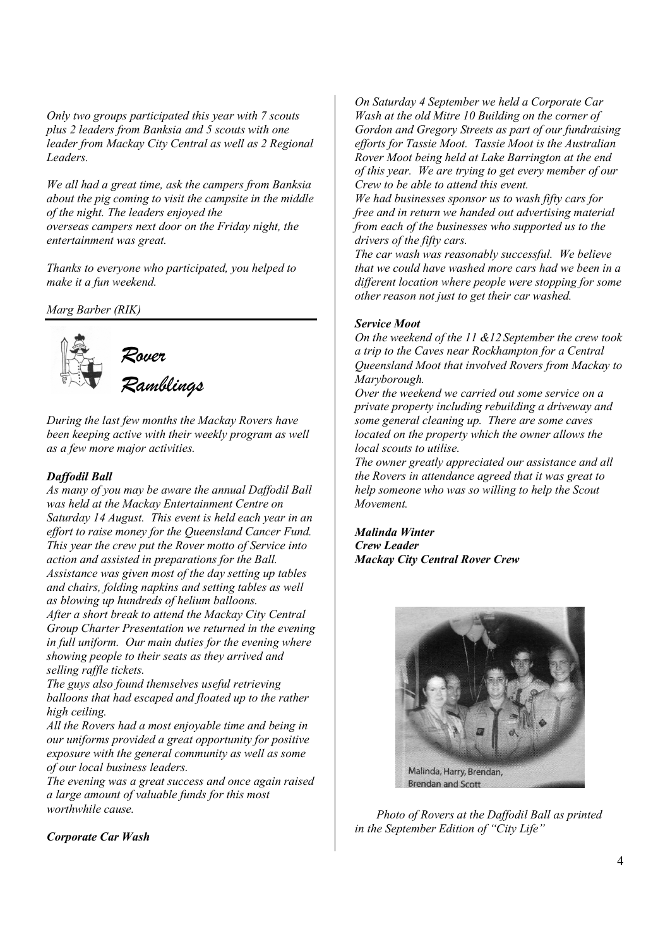*Only two groups participated this year with 7 scouts plus 2 leaders from Banksia and 5 scouts with one leader from Mackay City Central as well as 2 Regional Leaders.* 

*We all had a great time, ask the campers from Banksia about the pig coming to visit the campsite in the middle of the night. The leaders enjoyed the overseas campers next door on the Friday night, the entertainment was great.* 

*Thanks to everyone who participated, you helped to make it a fun weekend.* 

*Marg Barber (RIK)* 



*During the last few months the Mackay Rovers have been keeping active with their weekly program as well as a few more major activities.* 

#### *Daffodil Ball*

*As many of you may be aware the annual Daffodil Ball was held at the Mackay Entertainment Centre on Saturday 14 August. This event is held each year in an effort to raise money for the Queensland Cancer Fund. This year the crew put the Rover motto of Service into action and assisted in preparations for the Ball. Assistance was given most of the day setting up tables and chairs, folding napkins and setting tables as well as blowing up hundreds of helium balloons. After a short break to attend the Mackay City Central Group Charter Presentation we returned in the evening* 

*in full uniform. Our main duties for the evening where showing people to their seats as they arrived and selling raffle tickets.* 

*The guys also found themselves useful retrieving balloons that had escaped and floated up to the rather high ceiling.* 

*All the Rovers had a most enjoyable time and being in our uniforms provided a great opportunity for positive exposure with the general community as well as some of our local business leaders.* 

*The evening was a great success and once again raised a large amount of valuable funds for this most worthwhile cause.* 

*On Saturday 4 September we held a Corporate Car Wash at the old Mitre 10 Building on the corner of Gordon and Gregory Streets as part of our fundraising efforts for Tassie Moot. Tassie Moot is the Australian Rover Moot being held at Lake Barrington at the end of this year. We are trying to get every member of our Crew to be able to attend this event.* 

*We had businesses sponsor us to wash fifty cars for free and in return we handed out advertising material from each of the businesses who supported us to the drivers of the fifty cars.* 

*The car wash was reasonably successful. We believe that we could have washed more cars had we been in a different location where people were stopping for some other reason not just to get their car washed.* 

#### *Service Moot*

*On the weekend of the 11 &12 September the crew took a trip to the Caves near Rockhampton for a Central Queensland Moot that involved Rovers from Mackay to Maryborough.* 

*Over the weekend we carried out some service on a private property including rebuilding a driveway and some general cleaning up. There are some caves located on the property which the owner allows the local scouts to utilise.* 

*The owner greatly appreciated our assistance and all the Rovers in attendance agreed that it was great to help someone who was so willing to help the Scout Movement.* 

*Malinda Winter Crew Leader Mackay City Central Rover Crew*



*Photo of Rovers at the Daffodil Ball as printed in the September Edition of "City Life"* 

*Corporate Car Wash*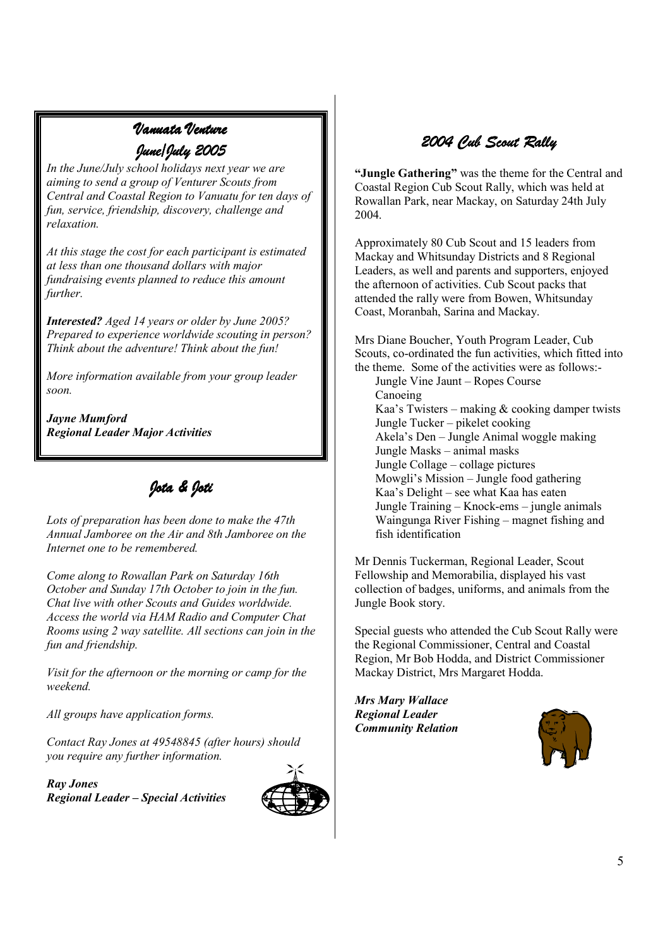# *Vanuata Venture June/July 2005 2005*

*In the June/July school holidays next year we are aiming to send a group of Venturer Scouts from Central and Coastal Region to Vanuatu for ten days of fun, service, friendship, discovery, challenge and relaxation.* 

*At this stage the cost for each participant is estimated at less than one thousand dollars with major fundraising events planned to reduce this amount further.* 

*Interested? Aged 14 years or older by June 2005? Prepared to experience worldwide scouting in person? Think about the adventure! Think about the fun!* 

*More information available from your group leader soon.* 

*Jayne Mumford Regional Leader Major Activities*

*Jota & Joti Jota & Joti* 

*Lots of preparation has been done to make the 47th Annual Jamboree on the Air and 8th Jamboree on the Internet one to be remembered.* 

*Come along to Rowallan Park on Saturday 16th October and Sunday 17th October to join in the fun. Chat live with other Scouts and Guides worldwide. Access the world via HAM Radio and Computer Chat Rooms using 2 way satellite. All sections can join in the fun and friendship.* 

*Visit for the afternoon or the morning or camp for the weekend.* 

*All groups have application forms.* 

*Contact Ray Jones at 49548845 (after hours) should you require any further information.* 

*Ray Jones Regional Leader – Special Activities* 



# *2004 Cub Scout Rally 2004 Cub Scout Rally 004 Rally*

**"Jungle Gathering"** was the theme for the Central and Coastal Region Cub Scout Rally, which was held at Rowallan Park, near Mackay, on Saturday 24th July 2004.

Approximately 80 Cub Scout and 15 leaders from Mackay and Whitsunday Districts and 8 Regional Leaders, as well and parents and supporters, enjoyed the afternoon of activities. Cub Scout packs that attended the rally were from Bowen, Whitsunday Coast, Moranbah, Sarina and Mackay.

Mrs Diane Boucher, Youth Program Leader, Cub Scouts, co-ordinated the fun activities, which fitted into the theme. Some of the activities were as follows:-

Jungle Vine Jaunt – Ropes Course Canoeing Kaa's Twisters – making & cooking damper twists Jungle Tucker – pikelet cooking Akela's Den – Jungle Animal woggle making Jungle Masks – animal masks Jungle Collage – collage pictures Mowgli's Mission – Jungle food gathering Kaa's Delight – see what Kaa has eaten Jungle Training – Knock-ems – jungle animals Waingunga River Fishing – magnet fishing and fish identification

Mr Dennis Tuckerman, Regional Leader, Scout Fellowship and Memorabilia, displayed his vast collection of badges, uniforms, and animals from the Jungle Book story.

Special guests who attended the Cub Scout Rally were the Regional Commissioner, Central and Coastal Region, Mr Bob Hodda, and District Commissioner Mackay District, Mrs Margaret Hodda.

*Mrs Mary Wallace Regional Leader Community Relation* 

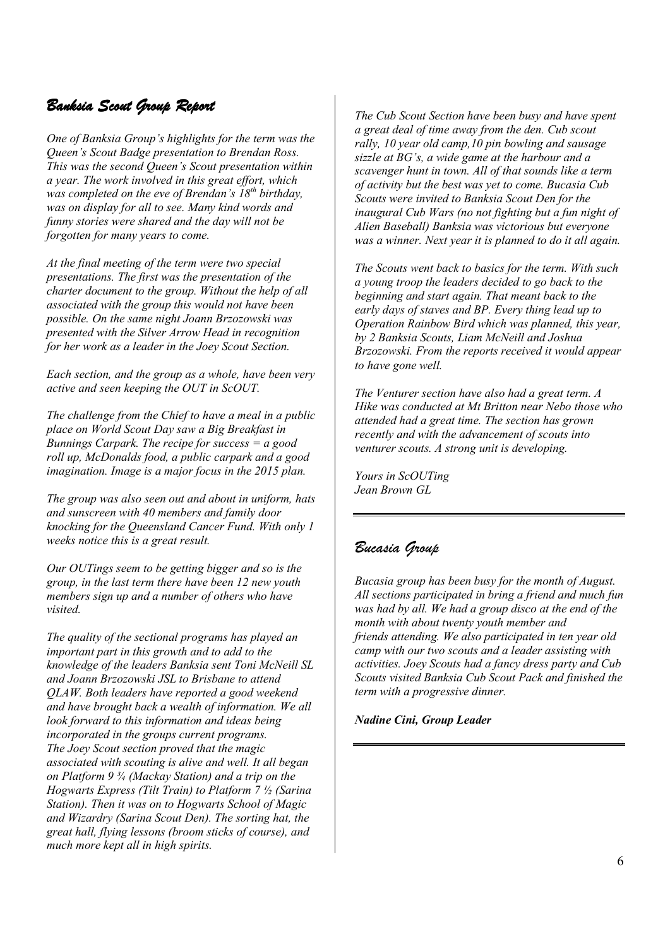# *Banksia Scout Group Report*

*One of Banksia Group's highlights for the term was the Queen's Scout Badge presentation to Brendan Ross. This was the second Queen's Scout presentation within a year. The work involved in this great effort, which was completed on the eve of Brendan's 18th birthday, was on display for all to see. Many kind words and funny stories were shared and the day will not be forgotten for many years to come.* 

*At the final meeting of the term were two special presentations. The first was the presentation of the charter document to the group. Without the help of all associated with the group this would not have been possible. On the same night Joann Brzozowski was presented with the Silver Arrow Head in recognition for her work as a leader in the Joey Scout Section.*

*Each section, and the group as a whole, have been very active and seen keeping the OUT in ScOUT.* 

*The challenge from the Chief to have a meal in a public place on World Scout Day saw a Big Breakfast in Bunnings Carpark. The recipe for success = a good roll up, McDonalds food, a public carpark and a good imagination. Image is a major focus in the 2015 plan.* 

*The group was also seen out and about in uniform, hats and sunscreen with 40 members and family door knocking for the Queensland Cancer Fund. With only 1 weeks notice this is a great result.* 

*Our OUTings seem to be getting bigger and so is the group, in the last term there have been 12 new youth members sign up and a number of others who have visited.* 

*The quality of the sectional programs has played an important part in this growth and to add to the knowledge of the leaders Banksia sent Toni McNeill SL and Joann Brzozowski JSL to Brisbane to attend QLAW. Both leaders have reported a good weekend and have brought back a wealth of information. We all look forward to this information and ideas being incorporated in the groups current programs. The Joey Scout section proved that the magic associated with scouting is alive and well. It all began on Platform 9 ¾ (Mackay Station) and a trip on the Hogwarts Express (Tilt Train) to Platform 7 ½ (Sarina Station). Then it was on to Hogwarts School of Magic and Wizardry (Sarina Scout Den). The sorting hat, the great hall, flying lessons (broom sticks of course), and much more kept all in high spirits.* 

*The Cub Scout Section have been busy and have spent a great deal of time away from the den. Cub scout rally, 10 year old camp,10 pin bowling and sausage sizzle at BG's, a wide game at the harbour and a scavenger hunt in town. All of that sounds like a term of activity but the best was yet to come. Bucasia Cub Scouts were invited to Banksia Scout Den for the inaugural Cub Wars (no not fighting but a fun night of Alien Baseball) Banksia was victorious but everyone was a winner. Next year it is planned to do it all again.* 

*The Scouts went back to basics for the term. With such a young troop the leaders decided to go back to the beginning and start again. That meant back to the early days of staves and BP. Every thing lead up to Operation Rainbow Bird which was planned, this year, by 2 Banksia Scouts, Liam McNeill and Joshua Brzozowski. From the reports received it would appear to have gone well.* 

*The Venturer section have also had a great term. A Hike was conducted at Mt Britton near Nebo those who attended had a great time. The section has grown recently and with the advancement of scouts into venturer scouts. A strong unit is developing.* 

*Yours in ScOUTing Jean Brown GL* 

# *Bucasia Group*

*Bucasia group has been busy for the month of August. All sections participated in bring a friend and much fun was had by all. We had a group disco at the end of the month with about twenty youth member and friends attending. We also participated in ten year old camp with our two scouts and a leader assisting with activities. Joey Scouts had a fancy dress party and Cub Scouts visited Banksia Cub Scout Pack and finished the term with a progressive dinner.* 

*Nadine Cini, Group Leader*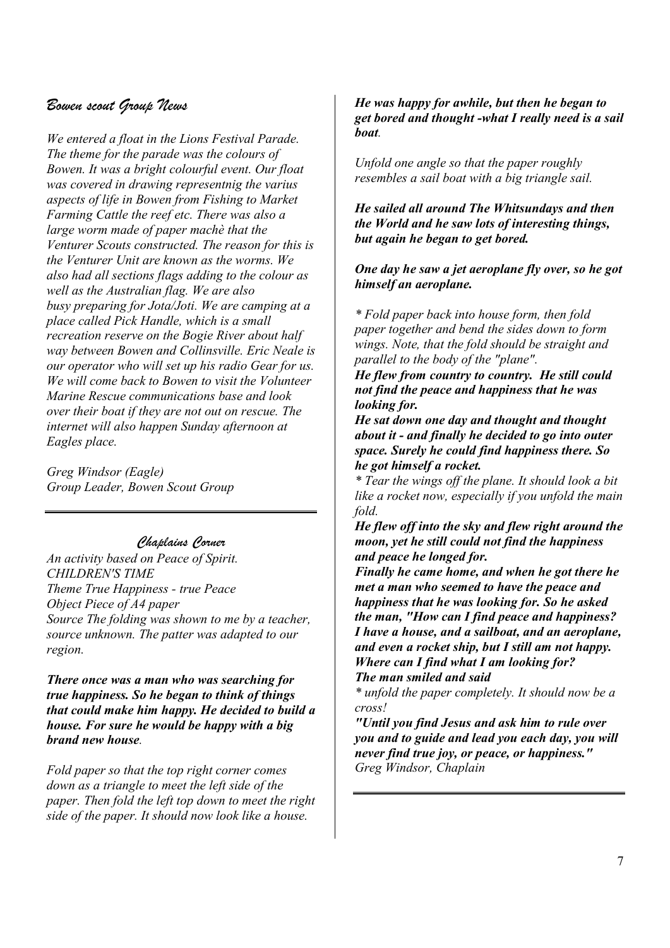# *Bowen scout Group News*

*We entered a float in the Lions Festival Parade. The theme for the parade was the colours of Bowen. It was a bright colourful event. Our float was covered in drawing representnig the varius aspects of life in Bowen from Fishing to Market Farming Cattle the reef etc. There was also a large worm made of paper machè that the Venturer Scouts constructed. The reason for this is the Venturer Unit are known as the worms. We also had all sections flags adding to the colour as well as the Australian flag. We are also busy preparing for Jota/Joti. We are camping at a place called Pick Handle, which is a small recreation reserve on the Bogie River about half way between Bowen and Collinsville. Eric Neale is our operator who will set up his radio Gear for us. We will come back to Bowen to visit the Volunteer Marine Rescue communications base and look over their boat if they are not out on rescue. The internet will also happen Sunday afternoon at Eagles place.* 

*Greg Windsor (Eagle) Group Leader, Bowen Scout Group*

## *Chaplains Corner*

*An activity based on Peace of Spirit. CHILDREN'S TIME Theme True Happiness - true Peace Object Piece of A4 paper Source The folding was shown to me by a teacher, source unknown. The patter was adapted to our region.* 

*There once was a man who was searching for true happiness. So he began to think of things that could make him happy. He decided to build a house. For sure he would be happy with a big brand new house.* 

*Fold paper so that the top right corner comes down as a triangle to meet the left side of the paper. Then fold the left top down to meet the right side of the paper. It should now look like a house.*

#### *He was happy for awhile, but then he began to get bored and thought -what I really need is a sail boat.*

*Unfold one angle so that the paper roughly resembles a sail boat with a big triangle sail.* 

*He sailed all around The Whitsundays and then the World and he saw lots of interesting things, but again he began to get bored.* 

*One day he saw a jet aeroplane fly over, so he got himself an aeroplane.* 

*\* Fold paper back into house form, then fold paper together and bend the sides down to form wings. Note, that the fold should be straight and parallel to the body of the "plane".* 

*He flew from country to country. He still could not find the peace and happiness that he was looking for.* 

*He sat down one day and thought and thought about it - and finally he decided to go into outer space. Surely he could find happiness there. So he got himself a rocket.* 

*\* Tear the wings off the plane. It should look a bit like a rocket now, especially if you unfold the main fold.* 

*He flew off into the sky and flew right around the moon, yet he still could not find the happiness and peace he longed for.* 

*Finally he came home, and when he got there he met a man who seemed to have the peace and happiness that he was looking for. So he asked the man, "How can I find peace and happiness? I have a house, and a sailboat, and an aeroplane, and even a rocket ship, but I still am not happy. Where can I find what I am looking for? The man smiled and said* 

*\* unfold the paper completely. It should now be a cross!* 

*"Until you find Jesus and ask him to rule over you and to guide and lead you each day, you will never find true joy, or peace, or happiness." Greg Windsor, Chaplain*